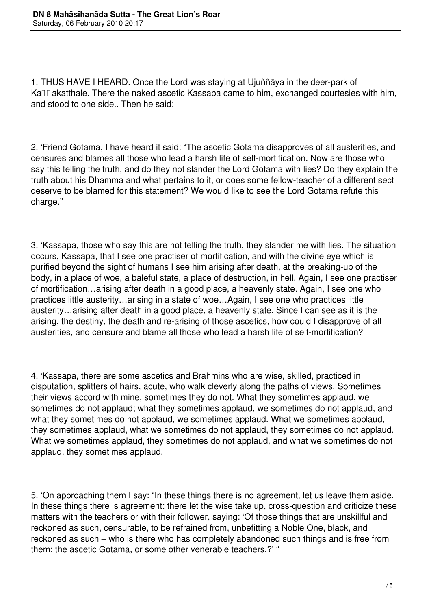1. THUS HAVE I HEARD. Once the Lord was staying at Ujuññāya in the deer-park of Ka<sub>n</sub> akatthale. There the naked ascetic Kassapa came to him, exchanged courtesies with him, and stood to one side.. Then he said:

2. 'Friend Gotama, I have heard it said: "The ascetic Gotama disapproves of all austerities, and censures and blames all those who lead a harsh life of self-mortification. Now are those who say this telling the truth, and do they not slander the Lord Gotama with lies? Do they explain the truth about his Dhamma and what pertains to it, or does some fellow-teacher of a different sect deserve to be blamed for this statement? We would like to see the Lord Gotama refute this charge."

3. 'Kassapa, those who say this are not telling the truth, they slander me with lies. The situation occurs, Kassapa, that I see one practiser of mortification, and with the divine eye which is purified beyond the sight of humans I see him arising after death, at the breaking-up of the body, in a place of woe, a baleful state, a place of destruction, in hell. Again, I see one practiser of mortification…arising after death in a good place, a heavenly state. Again, I see one who practices little austerity…arising in a state of woe…Again, I see one who practices little austerity…arising after death in a good place, a heavenly state. Since I can see as it is the arising, the destiny, the death and re-arising of those ascetics, how could I disapprove of all austerities, and censure and blame all those who lead a harsh life of self-mortification?

4. 'Kassapa, there are some ascetics and Brahmins who are wise, skilled, practiced in disputation, splitters of hairs, acute, who walk cleverly along the paths of views. Sometimes their views accord with mine, sometimes they do not. What they sometimes applaud, we sometimes do not applaud; what they sometimes applaud, we sometimes do not applaud, and what they sometimes do not applaud, we sometimes applaud. What we sometimes applaud, they sometimes applaud, what we sometimes do not applaud, they sometimes do not applaud. What we sometimes applaud, they sometimes do not applaud, and what we sometimes do not applaud, they sometimes applaud.

5. 'On approaching them I say: "In these things there is no agreement, let us leave them aside. In these things there is agreement: there let the wise take up, cross-question and criticize these matters with the teachers or with their follower, saying: 'Of those things that are unskillful and reckoned as such, censurable, to be refrained from, unbefitting a Noble One, black, and reckoned as such – who is there who has completely abandoned such things and is free from them: the ascetic Gotama, or some other venerable teachers.?' "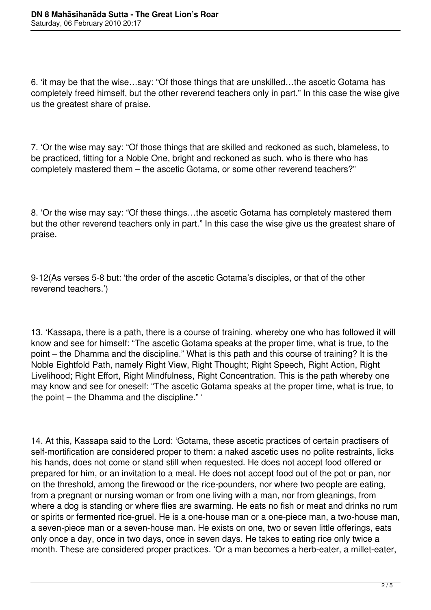6. 'it may be that the wise…say: "Of those things that are unskilled…the ascetic Gotama has completely freed himself, but the other reverend teachers only in part." In this case the wise give us the greatest share of praise.

7. 'Or the wise may say: "Of those things that are skilled and reckoned as such, blameless, to be practiced, fitting for a Noble One, bright and reckoned as such, who is there who has completely mastered them – the ascetic Gotama, or some other reverend teachers?"

8. 'Or the wise may say: "Of these things…the ascetic Gotama has completely mastered them but the other reverend teachers only in part." In this case the wise give us the greatest share of praise.

9-12(As verses 5-8 but: 'the order of the ascetic Gotama's disciples, or that of the other reverend teachers.')

13. 'Kassapa, there is a path, there is a course of training, whereby one who has followed it will know and see for himself: "The ascetic Gotama speaks at the proper time, what is true, to the point – the Dhamma and the discipline." What is this path and this course of training? It is the Noble Eightfold Path, namely Right View, Right Thought; Right Speech, Right Action, Right Livelihood; Right Effort, Right Mindfulness, Right Concentration. This is the path whereby one may know and see for oneself: "The ascetic Gotama speaks at the proper time, what is true, to the point – the Dhamma and the discipline." '

14. At this, Kassapa said to the Lord: 'Gotama, these ascetic practices of certain practisers of self-mortification are considered proper to them: a naked ascetic uses no polite restraints, licks his hands, does not come or stand still when requested. He does not accept food offered or prepared for him, or an invitation to a meal. He does not accept food out of the pot or pan, nor on the threshold, among the firewood or the rice-pounders, nor where two people are eating, from a pregnant or nursing woman or from one living with a man, nor from gleanings, from where a dog is standing or where flies are swarming. He eats no fish or meat and drinks no rum or spirits or fermented rice-gruel. He is a one-house man or a one-piece man, a two-house man, a seven-piece man or a seven-house man. He exists on one, two or seven little offerings, eats only once a day, once in two days, once in seven days. He takes to eating rice only twice a month. These are considered proper practices. 'Or a man becomes a herb-eater, a millet-eater,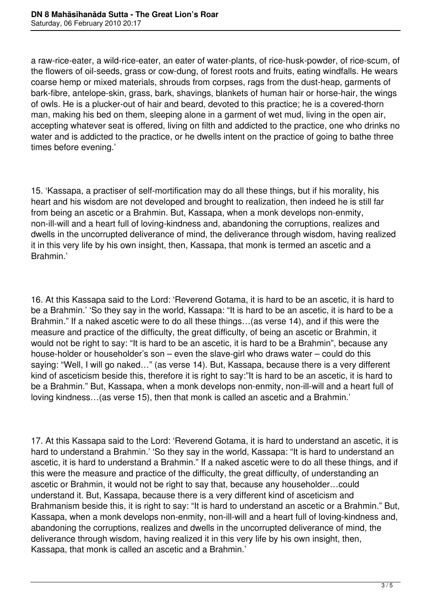a raw-rice-eater, a wild-rice-eater, an eater of water-plants, of rice-husk-powder, of rice-scum, of the flowers of oil-seeds, grass or cow-dung, of forest roots and fruits, eating windfalls. He wears coarse hemp or mixed materials, shrouds from corpses, rags from the dust-heap, garments of bark-fibre, antelope-skin, grass, bark, shavings, blankets of human hair or horse-hair, the wings of owls. He is a plucker-out of hair and beard, devoted to this practice; he is a covered-thorn man, making his bed on them, sleeping alone in a garment of wet mud, living in the open air, accepting whatever seat is offered, living on filth and addicted to the practice, one who drinks no water and is addicted to the practice, or he dwells intent on the practice of going to bathe three times before evening.'

15. 'Kassapa, a practiser of self-mortification may do all these things, but if his morality, his heart and his wisdom are not developed and brought to realization, then indeed he is still far from being an ascetic or a Brahmin. But, Kassapa, when a monk develops non-enmity, non-ill-will and a heart full of loving-kindness and, abandoning the corruptions, realizes and dwells in the uncorrupted deliverance of mind, the deliverance through wisdom, having realized it in this very life by his own insight, then, Kassapa, that monk is termed an ascetic and a Brahmin.'

16. At this Kassapa said to the Lord: 'Reverend Gotama, it is hard to be an ascetic, it is hard to be a Brahmin.' 'So they say in the world, Kassapa: "It is hard to be an ascetic, it is hard to be a Brahmin." If a naked ascetic were to do all these things…(as verse 14), and if this were the measure and practice of the difficulty, the great difficulty, of being an ascetic or Brahmin, it would not be right to say: "It is hard to be an ascetic, it is hard to be a Brahmin", because any house-holder or householder's son – even the slave-girl who draws water – could do this saying: "Well, I will go naked…" (as verse 14). But, Kassapa, because there is a very different kind of asceticism beside this, therefore it is right to say:"It is hard to be an ascetic, it is hard to be a Brahmin." But, Kassapa, when a monk develops non-enmity, non-ill-will and a heart full of loving kindness…(as verse 15), then that monk is called an ascetic and a Brahmin.'

17. At this Kassapa said to the Lord: 'Reverend Gotama, it is hard to understand an ascetic, it is hard to understand a Brahmin.' 'So they say in the world, Kassapa: "It is hard to understand an ascetic, it is hard to understand a Brahmin." If a naked ascetic were to do all these things, and if this were the measure and practice of the difficulty, the great difficulty, of understanding an ascetic or Brahmin, it would not be right to say that, because any householder…could understand it. But, Kassapa, because there is a very different kind of asceticism and Brahmanism beside this, it is right to say: "It is hard to understand an ascetic or a Brahmin." But, Kassapa, when a monk develops non-enmity, non-ill-will and a heart full of loving-kindness and, abandoning the corruptions, realizes and dwells in the uncorrupted deliverance of mind, the deliverance through wisdom, having realized it in this very life by his own insight, then, Kassapa, that monk is called an ascetic and a Brahmin.'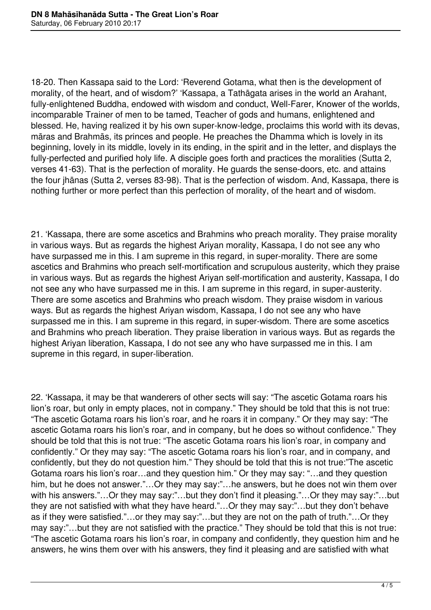18-20. Then Kassapa said to the Lord: 'Reverend Gotama, what then is the development of morality, of the heart, and of wisdom?' 'Kassapa, a Tathāgata arises in the world an Arahant, fully-enlightened Buddha, endowed with wisdom and conduct, Well-Farer, Knower of the worlds, incomparable Trainer of men to be tamed, Teacher of gods and humans, enlightened and blessed. He, having realized it by his own super-know-ledge, proclaims this world with its devas, māras and Brahmās, its princes and people. He preaches the Dhamma which is lovely in its beginning, lovely in its middle, lovely in its ending, in the spirit and in the letter, and displays the fully-perfected and purified holy life. A disciple goes forth and practices the moralities (Sutta 2, verses 41-63). That is the perfection of morality. He guards the sense-doors, etc. and attains the four jhānas (Sutta 2, verses 83-98). That is the perfection of wisdom. And, Kassapa, there is nothing further or more perfect than this perfection of morality, of the heart and of wisdom.

21. 'Kassapa, there are some ascetics and Brahmins who preach morality. They praise morality in various ways. But as regards the highest Ariyan morality, Kassapa, I do not see any who have surpassed me in this. I am supreme in this regard, in super-morality. There are some ascetics and Brahmins who preach self-mortification and scrupulous austerity, which they praise in various ways. But as regards the highest Ariyan self-mortification and austerity, Kassapa, I do not see any who have surpassed me in this. I am supreme in this regard, in super-austerity. There are some ascetics and Brahmins who preach wisdom. They praise wisdom in various ways. But as regards the highest Ariyan wisdom, Kassapa, I do not see any who have surpassed me in this. I am supreme in this regard, in super-wisdom. There are some ascetics and Brahmins who preach liberation. They praise liberation in various ways. But as regards the highest Ariyan liberation, Kassapa, I do not see any who have surpassed me in this. I am supreme in this regard, in super-liberation.

22. 'Kassapa, it may be that wanderers of other sects will say: "The ascetic Gotama roars his lion's roar, but only in empty places, not in company." They should be told that this is not true: "The ascetic Gotama roars his lion's roar, and he roars it in company." Or they may say: "The ascetic Gotama roars his lion's roar, and in company, but he does so without confidence." They should be told that this is not true: "The ascetic Gotama roars his lion's roar, in company and confidently." Or they may say: "The ascetic Gotama roars his lion's roar, and in company, and confidently, but they do not question him." They should be told that this is not true:"The ascetic Gotama roars his lion's roar…and they question him." Or they may say: "…and they question him, but he does not answer."…Or they may say:"…he answers, but he does not win them over with his answers."...Or they may say:"...but they don't find it pleasing."...Or they may say:"...but they are not satisfied with what they have heard."…Or they may say:"…but they don't behave as if they were satisfied."…or they may say:"…but they are not on the path of truth."…Or they may say:"…but they are not satisfied with the practice." They should be told that this is not true: "The ascetic Gotama roars his lion's roar, in company and confidently, they question him and he answers, he wins them over with his answers, they find it pleasing and are satisfied with what